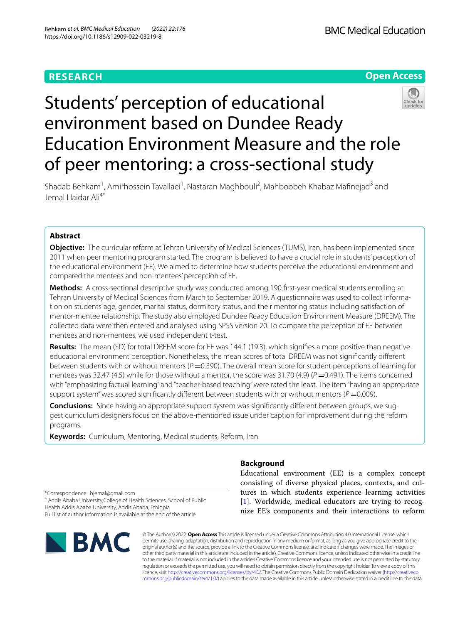# **RESEARCH**



# Students' perception of educational environment based on Dundee Ready Education Environment Measure and the role of peer mentoring: a cross-sectional study

Shadab Behkam<sup>1</sup>, Amirhossein Tavallaei<sup>1</sup>, Nastaran Maghbouli<sup>2</sup>, Mahboobeh Khabaz Mafinejad<sup>3</sup> and Jemal Haidar Ali4\*

# **Abstract**

**Objective:** The curricular reform at Tehran University of Medical Sciences (TUMS), Iran, has been implemented since 2011 when peer mentoring program started. The program is believed to have a crucial role in students' perception of the educational environment (EE). We aimed to determine how students perceive the educational environment and compared the mentees and non-mentees' perception of EE.

**Methods:** A cross-sectional descriptive study was conducted among 190 frst-year medical students enrolling at Tehran University of Medical Sciences from March to September 2019. A questionnaire was used to collect information on students' age, gender, marital status, dormitory status, and their mentoring status including satisfaction of mentor-mentee relationship. The study also employed Dundee Ready Education Environment Measure (DREEM). The collected data were then entered and analysed using SPSS version 20. To compare the perception of EE between mentees and non-mentees, we used independent t-test.

**Results:** The mean (SD) for total DREEM score for EE was 144.1 (19.3), which signifes a more positive than negative educational environment perception. Nonetheless, the mean scores of total DREEM was not signifcantly diferent between students with or without mentors ( $P = 0.390$ ). The overall mean score for student perceptions of learning for mentees was 32.47 (4.5) while for those without a mentor, the score was 31.70 (4.9) (*P* = 0.491). The items concerned with "emphasizing factual learning" and "teacher-based teaching" were rated the least. The item "having an appropriate support system" was scored significantly different between students with or without mentors ( $P = 0.009$ ).

**Conclusions:** Since having an appropriate support system was signifcantly diferent between groups, we suggest curriculum designers focus on the above-mentioned issue under caption for improvement during the reform programs.

**Keywords:** Curriculum, Mentoring, Medical students, Reform, Iran

# **Background**

Educational environment (EE) is a complex concept consisting of diverse physical places, contexts, and cultures in which students experience learning activities [[1\]](#page-6-0). Worldwide, medical educators are trying to recognize EE's components and their interactions to reform

\*Correspondence: hjemal@gmail.com <sup>4</sup> Addis Ababa University, College of Health Sciences, School of Public Health Addis Ababa University, Addis Ababa, Ethiopia

Full list of author information is available at the end of the article



© The Author(s) 2022. **Open Access** This article is licensed under a Creative Commons Attribution 4.0 International License, which permits use, sharing, adaptation, distribution and reproduction in any medium or format, as long as you give appropriate credit to the original author(s) and the source, provide a link to the Creative Commons licence, and indicate if changes were made. The images or other third party material in this article are included in the article's Creative Commons licence, unless indicated otherwise in a credit line to the material. If material is not included in the article's Creative Commons licence and your intended use is not permitted by statutory regulation or exceeds the permitted use, you will need to obtain permission directly from the copyright holder. To view a copy of this licence, visit [http://creativecommons.org/licenses/by/4.0/.](http://creativecommons.org/licenses/by/4.0/) The Creative Commons Public Domain Dedication waiver ([http://creativeco](http://creativecommons.org/publicdomain/zero/1.0/) [mmons.org/publicdomain/zero/1.0/](http://creativecommons.org/publicdomain/zero/1.0/)) applies to the data made available in this article, unless otherwise stated in a credit line to the data.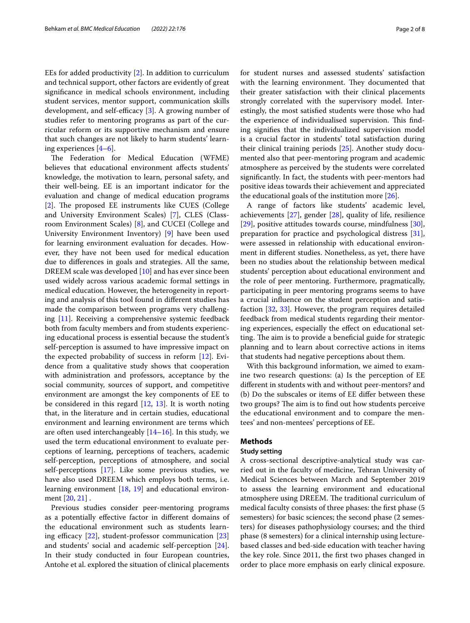EEs for added productivity [\[2](#page-6-1)]. In addition to curriculum and technical support, other factors are evidently of great signifcance in medical schools environment, including student services, mentor support, communication skills development, and self-efficacy  $[3]$  $[3]$  $[3]$ . A growing number of studies refer to mentoring programs as part of the curricular reform or its supportive mechanism and ensure that such changes are not likely to harm students' learning experiences [\[4](#page-6-3)[–6](#page-6-4)].

The Federation for Medical Education (WFME) believes that educational environment affects students' knowledge, the motivation to learn, personal safety, and their well-being. EE is an important indicator for the evaluation and change of medical education programs [[2\]](#page-6-1). The proposed EE instruments like CUES (College and University Environment Scales) [[7\]](#page-6-5), CLES (Classroom Environment Scales) [\[8](#page-6-6)], and CUCEI (College and University Environment Inventory) [[9\]](#page-6-7) have been used for learning environment evaluation for decades. However, they have not been used for medical education due to diferences in goals and strategies. All the same, DREEM scale was developed [[10\]](#page-6-8) and has ever since been used widely across various academic formal settings in medical education. However, the heterogeneity in reporting and analysis of this tool found in diferent studies has made the comparison between programs very challenging [[11\]](#page-6-9). Receiving a comprehensive systemic feedback both from faculty members and from students experiencing educational process is essential because the student's self-perception is assumed to have impressive impact on the expected probability of success in reform [\[12](#page-6-10)]. Evidence from a qualitative study shows that cooperation with administration and professors, acceptance by the social community, sources of support, and competitive environment are amongst the key components of EE to be considered in this regard [[12](#page-6-10), [13\]](#page-6-11). It is worth noting that, in the literature and in certain studies, educational environment and learning environment are terms which are often used interchangeably [\[14–](#page-6-12)[16\]](#page-6-13). In this study, we used the term educational environment to evaluate perceptions of learning, perceptions of teachers, academic self-perception, perceptions of atmosphere, and social self-perceptions [[17\]](#page-6-14). Like some previous studies, we have also used DREEM which employs both terms, i.e. learning environment [\[18](#page-7-0), [19\]](#page-7-1) and educational environment [\[20](#page-7-2), [21\]](#page-7-3) .

Previous studies consider peer-mentoring programs as a potentially efective factor in diferent domains of the educational environment such as students learning efficacy  $[22]$  $[22]$ , student-professor communication  $[23]$  $[23]$  $[23]$ and students' social and academic self-perception [\[24](#page-7-6)]. In their study conducted in four European countries, Antohe et al. explored the situation of clinical placements for student nurses and assessed students' satisfaction with the learning environment. They documented that their greater satisfaction with their clinical placements strongly correlated with the supervisory model. Interestingly, the most satisfed students were those who had the experience of individualised supervision. This finding signifes that the individualized supervision model is a crucial factor in students' total satisfaction during their clinical training periods [[25\]](#page-7-7). Another study documented also that peer-mentoring program and academic atmosphere as perceived by the students were correlated signifcantly. In fact, the students with peer-mentors had positive ideas towards their achievement and appreciated the educational goals of the institution more  $[26]$  $[26]$ .

A range of factors like students' academic level, achievements  $[27]$ , gender  $[28]$  $[28]$ , quality of life, resilience [[29\]](#page-7-11), positive attitudes towards course, mindfulness [\[30](#page-7-12)], preparation for practice and psychological distress [\[31](#page-7-13)], were assessed in relationship with educational environment in diferent studies. Nonetheless, as yet, there have been no studies about the relationship between medical students' perception about educational environment and the role of peer mentoring. Furthermore, pragmatically, participating in peer mentoring programs seems to have a crucial infuence on the student perception and satisfaction [\[32](#page-7-14), [33\]](#page-7-15). However, the program requires detailed feedback from medical students regarding their mentoring experiences, especially the efect on educational setting. The aim is to provide a beneficial guide for strategic planning and to learn about corrective actions in items that students had negative perceptions about them.

With this background information, we aimed to examine two research questions: (a) Is the perception of EE diferent in students with and without peer-mentors? and (b) Do the subscales or items of EE difer between these two groups? The aim is to find out how students perceive the educational environment and to compare the mentees' and non-mentees' perceptions of EE.

## **Methods**

# **Study setting**

A cross-sectional descriptive-analytical study was carried out in the faculty of medicine, Tehran University of Medical Sciences between March and September 2019 to assess the learning environment and educational atmosphere using DREEM. The traditional curriculum of medical faculty consists of three phases: the frst phase (5 semesters) for basic sciences; the second phase (2 semesters) for diseases pathophysiology courses; and the third phase (8 semesters) for a clinical internship using lecturebased classes and bed-side education with teacher having the key role. Since 2011, the frst two phases changed in order to place more emphasis on early clinical exposure.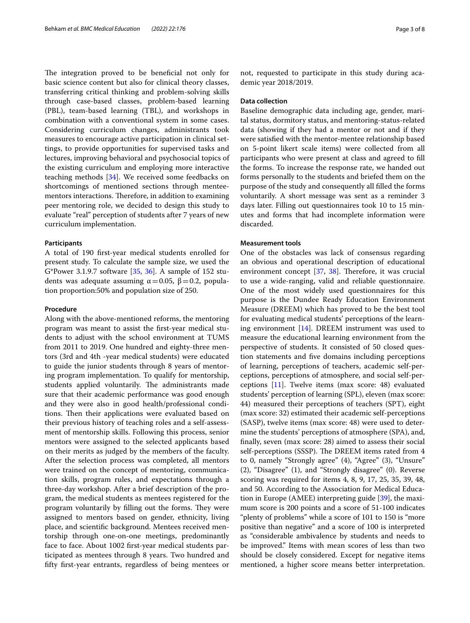The integration proved to be beneficial not only for basic science content but also for clinical theory classes, transferring critical thinking and problem-solving skills through case-based classes, problem-based learning (PBL), team-based learning (TBL), and workshops in combination with a conventional system in some cases. Considering curriculum changes, administrants took measures to encourage active participation in clinical settings, to provide opportunities for supervised tasks and lectures, improving behavioral and psychosocial topics of the existing curriculum and employing more interactive teaching methods [\[34](#page-7-16)]. We received some feedbacks on shortcomings of mentioned sections through menteementors interactions. Therefore, in addition to examining peer mentoring role, we decided to design this study to evaluate "real" perception of students after 7 years of new curriculum implementation.

# **Participants**

A total of 190 frst-year medical students enrolled for present study. To calculate the sample size, we used the G\*Power 3.1.9.7 software [\[35,](#page-7-17) [36](#page-7-18)]. A sample of 152 students was adequate assuming  $α=0.05$ ,  $β=0.2$ , population proportion:50% and population size of 250.

#### **Procedure**

Along with the above-mentioned reforms, the mentoring program was meant to assist the frst-year medical students to adjust with the school environment at TUMS from 2011 to 2019. One hundred and eighty-three mentors (3rd and 4th -year medical students) were educated to guide the junior students through 8 years of mentoring program implementation. To qualify for mentorship, students applied voluntarily. The administrants made sure that their academic performance was good enough and they were also in good health/professional conditions. Then their applications were evaluated based on their previous history of teaching roles and a self-assessment of mentorship skills. Following this process, senior mentors were assigned to the selected applicants based on their merits as judged by the members of the faculty. After the selection process was completed, all mentors were trained on the concept of mentoring, communication skills, program rules, and expectations through a three-day workshop. After a brief description of the program, the medical students as mentees registered for the program voluntarily by filling out the forms. They were assigned to mentors based on gender, ethnicity, living place, and scientifc background. Mentees received mentorship through one-on-one meetings, predominantly face to face. About 1002 frst-year medical students participated as mentees through 8 years. Two hundred and ffty frst-year entrants, regardless of being mentees or not, requested to participate in this study during academic year 2018/2019.

## **Data collection**

Baseline demographic data including age, gender, marital status, dormitory status, and mentoring-status-related data (showing if they had a mentor or not and if they were satisfed with the mentor-mentee relationship based on 5-point likert scale items) were collected from all participants who were present at class and agreed to fll the forms. To increase the response rate, we handed out forms personally to the students and briefed them on the purpose of the study and consequently all flled the forms voluntarily. A short message was sent as a reminder 3 days later. Filling out questionnaires took 10 to 15 minutes and forms that had incomplete information were discarded.

# **Measurement tools**

One of the obstacles was lack of consensus regarding an obvious and operational description of educational environment concept  $[37, 38]$  $[37, 38]$  $[37, 38]$  $[37, 38]$ . Therefore, it was crucial to use a wide-ranging, valid and reliable questionnaire. One of the most widely used questionnaires for this purpose is the Dundee Ready Education Environment Measure (DREEM) which has proved to be the best tool for evaluating medical students' perceptions of the learning environment [\[14](#page-6-12)]. DREEM instrument was used to measure the educational learning environment from the perspective of students. It consisted of 50 closed question statements and fve domains including perceptions of learning, perceptions of teachers, academic self-perceptions, perceptions of atmosphere, and social self-perceptions [\[11\]](#page-6-9). Twelve items (max score: 48) evaluated students' perception of learning (SPL), eleven (max score: 44) measured their perceptions of teachers (SPT), eight (max score: 32) estimated their academic self-perceptions (SASP), twelve items (max score: 48) were used to determine the students' perceptions of atmosphere (SPA), and, fnally, seven (max score: 28) aimed to assess their social self-perceptions (SSSP). The DREEM items rated from 4 to 0, namely "Strongly agree" (4), "Agree" (3), "Unsure" (2), "Disagree" (1), and "Strongly disagree" (0). Reverse scoring was required for items 4, 8, 9, 17, 25, 35, 39, 48, and 50. According to the Association for Medical Education in Europe (AMEE) interpreting guide [[39](#page-7-21)], the maximum score is 200 points and a score of 51-100 indicates "plenty of problems" while a score of 101 to 150 is "more positive than negative'' and a score of 100 is interpreted as ''considerable ambivalence by students and needs to be improved.'' Items with mean scores of less than two should be closely considered. Except for negative items mentioned, a higher score means better interpretation.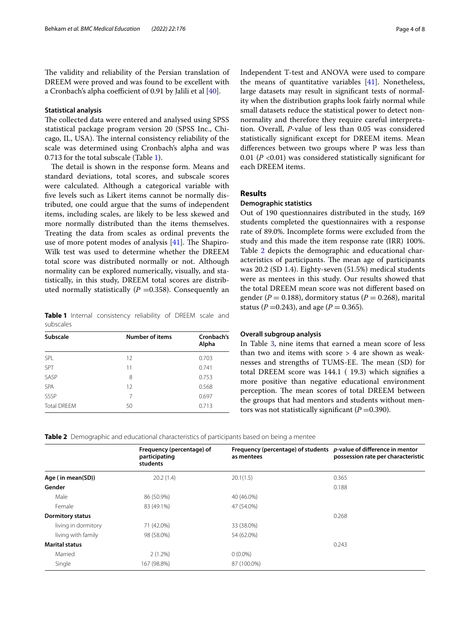The validity and reliability of the Persian translation of DREEM were proved and was found to be excellent with a Cronbach's alpha coefficient of 0.91 by Jalili et al  $[40]$  $[40]$  $[40]$ .

# **Statistical analysis**

The collected data were entered and analysed using SPSS statistical package program version 20 (SPSS Inc., Chicago, IL, USA). The internal consistency reliability of the scale was determined using Cronbach's alpha and was 0.713 for the total subscale (Table [1\)](#page-3-0).

The detail is shown in the response form. Means and standard deviations, total scores, and subscale scores were calculated. Although a categorical variable with fve levels such as Likert items cannot be normally distributed, one could argue that the sums of independent items, including scales, are likely to be less skewed and more normally distributed than the items themselves. Treating the data from scales as ordinal prevents the use of more potent modes of analysis  $[41]$  $[41]$  $[41]$ . The Shapiro-Wilk test was used to determine whether the DREEM total score was distributed normally or not. Although normality can be explored numerically, visually, and statistically, in this study, DREEM total scores are distributed normally statistically  $(P = 0.358)$ . Consequently an

<span id="page-3-0"></span>**Table 1** Internal consistency reliability of DREEM scale and subscales

| <b>Subscale</b>    | <b>Number of items</b> | Cronbach's<br>Alpha |
|--------------------|------------------------|---------------------|
| SPL                | 12                     | 0.703               |
| SPT                | 11                     | 0.741               |
| SASP               | 8                      | 0.753               |
| <b>SPA</b>         | 12                     | 0.568               |
| SSSP               | 7                      | 0.697               |
| <b>Total DRFFM</b> | 50                     | 0.713               |

Independent T-test and ANOVA were used to compare the means of quantitative variables [[41](#page-7-23)]. Nonetheless, large datasets may result in signifcant tests of normality when the distribution graphs look fairly normal while small datasets reduce the statistical power to detect nonnormality and therefore they require careful interpretation. Overall, *P*-value of less than 0.05 was considered statistically signifcant except for DREEM items. Mean diferences between two groups where P was less than 0.01 (*P* <0.01) was considered statistically signifcant for each DREEM items.

# **Results**

#### **Demographic statistics**

Out of 190 questionnaires distributed in the study, 169 students completed the questionnaires with a response rate of 89.0%. Incomplete forms were excluded from the study and this made the item response rate (IRR) 100%. Table [2](#page-3-1) depicts the demographic and educational characteristics of participants. The mean age of participants was 20.2 (SD 1.4). Eighty-seven (51.5%) medical students were as mentees in this study. Our results showed that the total DREEM mean score was not diferent based on gender ( $P = 0.188$ ), dormitory status ( $P = 0.268$ ), marital status (*P* = 0.243), and age (*P* = 0.365).

# **Overall subgroup analysis**

In Table [3,](#page-4-0) nine items that earned a mean score of less than two and items with score > 4 are shown as weaknesses and strengths of TUMS-EE. The mean (SD) for total DREEM score was 144.1 ( 19.3) which signifes a more positive than negative educational environment perception. The mean scores of total DREEM between the groups that had mentors and students without mentors was not statistically significant  $(P=0.390)$ .

<span id="page-3-1"></span>**Table 2** Demographic and educational characteristics of participants based on being a mentee

|                         | Frequency (percentage) of<br>participating<br>students | Frequency (percentage) of students $p$ -value of difference in mentor<br>as mentees | possession rate per characteristic |
|-------------------------|--------------------------------------------------------|-------------------------------------------------------------------------------------|------------------------------------|
| Age (in mean(SD))       | 20.2(1.4)                                              | 20.1(1.5)                                                                           | 0.365                              |
| Gender                  |                                                        |                                                                                     | 0.188                              |
| Male                    | 86 (50.9%)                                             | 40 (46.0%)                                                                          |                                    |
| Female                  | 83 (49.1%)                                             | 47 (54.0%)                                                                          |                                    |
| <b>Dormitory status</b> |                                                        |                                                                                     | 0.268                              |
| living in dormitory     | 71 (42.0%)                                             | 33 (38.0%)                                                                          |                                    |
| living with family      | 98 (58.0%)                                             | 54 (62.0%)                                                                          |                                    |
| <b>Marital status</b>   |                                                        |                                                                                     | 0.243                              |
| Married                 | $2(1.2\%)$                                             | $0(0.0\%)$                                                                          |                                    |
| Single                  | 167 (98.8%)                                            | 87 (100.0%)                                                                         |                                    |
|                         |                                                        |                                                                                     |                                    |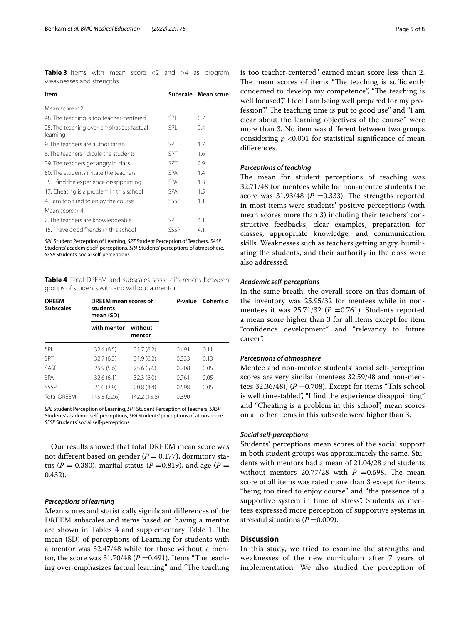<span id="page-4-0"></span>**Table 3** Items with mean score <2 and >4 as program weaknesses and strengths

| Item                                                 |            | Subscale Mean score |
|------------------------------------------------------|------------|---------------------|
| Mean score $<$ 2                                     |            |                     |
| 48. The teaching is too teacher-centered             | <b>SPI</b> | 0.7                 |
| 25. The teaching over-emphasizes factual<br>learning | <b>SPL</b> | 0.4                 |
| 9. The teachers are authoritarian                    | <b>SPT</b> | 1.7                 |
| 8. The teachers ridicule the students                | <b>SPT</b> | 1.6                 |
| 39. The teachers get angry in class                  | <b>SPT</b> | 0.9                 |
| 50. The students irritate the teachers               | <b>SPA</b> | 1.4                 |
| 35. I find the experience disappointing              | <b>SPA</b> | 1.3                 |
| 17. Cheating is a problem in this school             | <b>SPA</b> | 1.5                 |
| 4. I am too tired to enjoy the course                | SSSP       | 1.1                 |
| Mean score $> 4$                                     |            |                     |
| 2. The teachers are knowledgeable                    | <b>SPT</b> | 4.1                 |
| 15. I have good friends in this school               | SSSP       | 4.1                 |

*SPL* Student Perception of Learning, *SPT* Student Perception of Teachers, *SASP* Students' academic self-perceptions, *SPA* Students' perceptions of atmosphere, *SSSP* Students' social self-perceptions

<span id="page-4-1"></span>**Table 4** Total DREEM and subscales score diferences between groups of students with and without a mentor

| <b>DREEM</b><br><b>Subscales</b> | DREEM mean scores of<br>students<br>mean (SD) |                   | P-value | Cohen's d |
|----------------------------------|-----------------------------------------------|-------------------|---------|-----------|
|                                  | with mentor                                   | without<br>mentor |         |           |
| <b>SPI</b>                       | 32.4(6.5)                                     | 31.7(6.2)         | 0.491   | 0.11      |
| SPT                              | 32.7(6.3)                                     | 31.9(6.2)         | 0.333   | 0.13      |
| SASP                             | 25.9(5.6)                                     | 25.6(5.6)         | 0.708   | 0.05      |
| <b>SPA</b>                       | 32.6(6.1)                                     | 32.3(6.0)         | 0.761   | 0.05      |
| SSSP                             | 21.0(3.9)                                     | 20.8(4.4)         | 0.598   | 0.05      |
| <b>Total DREEM</b>               | 145.5 (22.6)                                  | 142.2 (15.8)      | 0.390   |           |

*SPL* Student Perception of Learning, *SPT* Student Perception of Teachers, *SASP*  Students' academic self-perceptions, *SPA* Students' perceptions of atmosphere*, SSSP* Students' social self-perceptions

Our results showed that total DREEM mean score was not different based on gender  $(P = 0.177)$ , dormitory status ( $P = 0.380$ ), marital status ( $P = 0.819$ ), and age ( $P =$ 0.432).

## *Perceptions of learning*

Mean scores and statistically signifcant diferences of the DREEM subscales and items based on having a mentor are shown in Tables [4](#page-4-1) and supplementary Table [1](#page-6-15). The mean (SD) of perceptions of Learning for students with a mentor was 32.47/48 while for those without a mentor, the score was  $31.70/48$  ( $P = 0.491$ ). Items "The teaching over-emphasizes factual learning" and "The teaching

is too teacher-centered" earned mean score less than 2. The mean scores of items "The teaching is sufficiently concerned to develop my competence", "The teaching is well focused"," I feel I am being well prepared for my profession"," The teaching time is put to good use" and "I am clear about the learning objectives of the course" were more than 3. No item was diferent between two groups considering  $p \le 0.001$  for statistical significance of mean diferences.

#### *Perceptions of teaching*

The mean for student perceptions of teaching was 32.71/48 for mentees while for non-mentee students the score was  $31.93/48$  ( $P = 0.333$ ). The strengths reported in most items were students' positive perceptions (with mean scores more than 3) including their teachers' constructive feedbacks, clear examples, preparation for classes, appropriate knowledge, and communication skills. Weaknesses such as teachers getting angry, humiliating the students, and their authority in the class were also addressed.

#### *Academic self‑perceptions*

In the same breath, the overall score on this domain of the inventory was 25.95/32 for mentees while in nonmentees it was  $25.71/32$  ( $P = 0.761$ ). Students reported a mean score higher than 3 for all items except for item "confidence development" and "relevancy to future career".

#### *Perceptions of atmosphere*

Mentee and non-mentee students' social self-perception scores are very similar (mentees 32.59/48 and non-mentees 32.36/48),  $(P = 0.708)$ . Except for items "This school is well time-tabled", "I fnd the experience disappointing" and "Cheating is a problem in this school", mean scores on all other items in this subscale were higher than 3.

## *Social self‑perceptions*

Students' perceptions mean scores of the social support in both student groups was approximately the same. Students with mentors had a mean of 21.04/28 and students without mentors  $20.77/28$  with  $P = 0.598$ . The mean score of all items was rated more than 3 except for items "being too tired to enjoy course" and "the presence of a supportive system in time of stress". Students as mentees expressed more perception of supportive systems in stressful situations  $(P=0.009)$ .

#### **Discussion**

In this study, we tried to examine the strengths and weaknesses of the new curriculum after 7 years of implementation. We also studied the perception of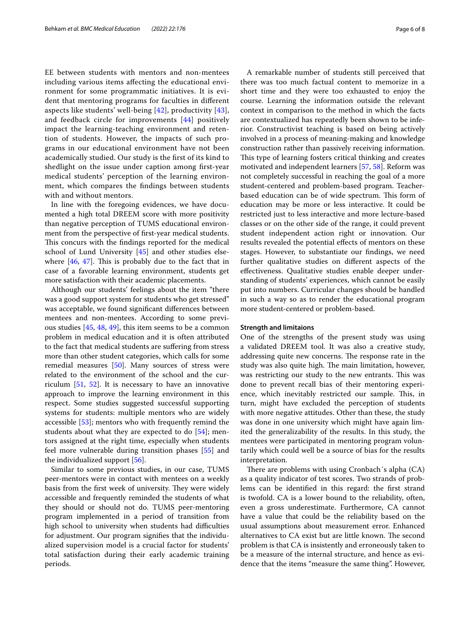EE between students with mentors and non-mentees including various items afecting the educational environment for some programmatic initiatives. It is evident that mentoring programs for faculties in diferent aspects like students' well-being [\[42\]](#page-7-24), productivity [[43\]](#page-7-25), and feedback circle for improvements [\[44](#page-7-26)] positively impact the learning-teaching environment and retention of students. However, the impacts of such programs in our educational environment have not been academically studied. Our study is the frst of its kind to shedlight on the issue under caption among frst-year medical students' perception of the learning environment, which compares the fndings between students with and without mentors.

In line with the foregoing evidences, we have documented a high total DREEM score with more positivity than negative perception of TUMS educational environment from the perspective of frst-year medical students. This concurs with the findings reported for the medical school of Lund University [[45](#page-7-27)] and other studies elsewhere  $[46, 47]$  $[46, 47]$  $[46, 47]$  $[46, 47]$  $[46, 47]$ . This is probably due to the fact that in case of a favorable learning environment, students get more satisfaction with their academic placements.

Although our students' feelings about the item "there was a good support system for students who get stressed" was acceptable, we found signifcant diferences between mentees and non-mentees. According to some previous studies [\[45](#page-7-27), [48](#page-7-30), [49\]](#page-7-31), this item seems to be a common problem in medical education and it is often attributed to the fact that medical students are sufering from stress more than other student categories, which calls for some remedial measures [[50\]](#page-7-32). Many sources of stress were related to the environment of the school and the curriculum  $[51, 52]$  $[51, 52]$  $[51, 52]$  $[51, 52]$ . It is necessary to have an innovative approach to improve the learning environment in this respect. Some studies suggested successful supporting systems for students: multiple mentors who are widely accessible [[53\]](#page-7-35); mentors who with frequently remind the students about what they are expected to do [\[54](#page-7-36)]; mentors assigned at the right time, especially when students feel more vulnerable during transition phases [\[55\]](#page-7-37) and the individualized support [[56\]](#page-7-38).

Similar to some previous studies, in our case, TUMS peer-mentors were in contact with mentees on a weekly basis from the first week of university. They were widely accessible and frequently reminded the students of what they should or should not do. TUMS peer-mentoring program implemented in a period of transition from high school to university when students had difficulties for adjustment. Our program signifes that the individualized supervision model is a crucial factor for students' total satisfaction during their early academic training periods.

A remarkable number of students still perceived that there was too much factual content to memorize in a short time and they were too exhausted to enjoy the course. Learning the information outside the relevant context in comparison to the method in which the facts are contextualized has repeatedly been shown to be inferior. Constructivist teaching is based on being actively involved in a process of meaning-making and knowledge construction rather than passively receiving information. This type of learning fosters critical thinking and creates motivated and independent learners [\[57](#page-7-39), [58](#page-7-40)]. Reform was not completely successful in reaching the goal of a more student-centered and problem-based program. Teacherbased education can be of wide spectrum. This form of education may be more or less interactive. It could be restricted just to less interactive and more lecture-based classes or on the other side of the range, it could prevent student independent action right or innovation. Our results revealed the potential efects of mentors on these stages. However, to substantiate our fndings, we need further qualitative studies on diferent aspects of the efectiveness. Qualitative studies enable deeper understanding of students' experiences, which cannot be easily put into numbers. Curricular changes should be handled in such a way so as to render the educational program more student-centered or problem-based.

#### **Strength and limitaions**

One of the strengths of the present study was using a validated DREEM tool. It was also a creative study, addressing quite new concerns. The response rate in the study was also quite high. The main limitation, however, was restricting our study to the new entrants. This was done to prevent recall bias of their mentoring experience, which inevitably restricted our sample. This, in turn, might have excluded the perception of students with more negative attitudes. Other than these, the study was done in one university which might have again limited the generalizability of the results. In this study, the mentees were participated in mentoring program voluntarily which could well be a source of bias for the results interpretation.

There are problems with using Cronbach's alpha (CA) as a quality indicator of test scores. Two strands of problems can be identifed in this regard: the frst strand is twofold. CA is a lower bound to the reliability, often, even a gross underestimate. Furthermore, CA cannot have a value that could be the reliability based on the usual assumptions about measurement error. Enhanced alternatives to CA exist but are little known. The second problem is that CA is insistently and erroneously taken to be a measure of the internal structure, and hence as evidence that the items "measure the same thing". However,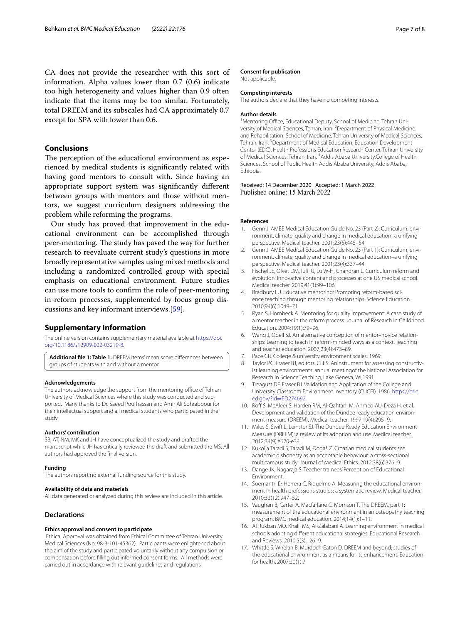CA does not provide the researcher with this sort of information. Alpha values lower than 0.7 (0.6) indicate too high heterogeneity and values higher than 0.9 often indicate that the items may be too similar. Fortunately, total DREEM and its subscales had CA approximately 0.7 except for SPA with lower than 0.6.

## **Conclusions**

The perception of the educational environment as experienced by medical students is signifcantly related with having good mentors to consult with. Since having an appropriate support system was signifcantly diferent between groups with mentors and those without mentors, we suggest curriculum designers addressing the problem while reforming the programs.

Our study has proved that improvement in the educational environment can be accomplished through peer-mentoring. The study has paved the way for further research to reevaluate current study's questions in more broadly representative samples using mixed methods and including a randomized controlled group with special emphasis on educational environment. Future studies can use more tools to confrm the role of peer-mentoring in reform processes, supplemented by focus group discussions and key informant interviews.[[59\]](#page-7-41).

#### **Supplementary Information**

The online version contains supplementary material available at [https://doi.](https://doi.org/10.1186/s12909-022-03219-8) [org/10.1186/s12909-022-03219-8](https://doi.org/10.1186/s12909-022-03219-8).

<span id="page-6-15"></span>**Additional fle 1: Table 1.** DREEM items' mean score diferences between groups of students with and without a mentor.

#### **Acknowledgements**

The authors acknowledge the support from the mentoring office of Tehran University of Medical Sciences where this study was conducted and supported. Many thanks to Dr. Saeed Pourhassan and Amir Ali Sohrabpour for their intellectual support and all medical students who participated in the study

#### **Authors' contribution**

SB, AT, NM, MK and JH have conceptualized the study and drafted the manuscript while JH has critically reviewed the draft and submitted the MS. All authors had approved the fnal version.

#### **Funding**

The authors report no external funding source for this study.

#### **Availability of data and materials**

All data generated or analyzed during this review are included in this article.

# **Declarations**

#### **Ethics approval and consent to participate**

 Ethical Approval was obtained from Ethical Committee of Tehran University Medical Sciences (No: 98-3-101-45362). Participants were enlightened about the aim of the study and participated voluntarily without any compulsion or compensation before flling out informed consent forms. All methods were carried out in accordance with relevant guidelines and regulations.

#### **Consent for publication**

Not applicable.

# **Competing interests**

The authors declare that they have no competing interests.

#### **Author details**

<sup>1</sup> Mentoring Office, Educational Deputy, School of Medicine, Tehran University of Medical Sciences, Tehran, Iran. <sup>2</sup> Department of Physical Medicine and Rehabilitation, School of Medicine, Tehran University of Medical Sciences, Tehran, Iran.<sup>3</sup> Department of Medical Education, Education Development Center (EDC), Health Professions Education Research Center, Tehran University of Medical Sciences, Tehran, Iran. <sup>4</sup> Addis Ababa University, College of Health Sciences, School of Public Health Addis Ababa University, Addis Ababa, Ethiopia.

Received: 14 December 2020 Accepted: 1 March 2022 Published online: 15 March 2022

#### **References**

- <span id="page-6-0"></span>1. Genn J. AMEE Medical Education Guide No. 23 (Part 2): Curriculum, environment, climate, quality and change in medical education–a unifying perspective. Medical teacher. 2001;23(5):445–54.
- <span id="page-6-1"></span>2. Genn J. AMEE Medical Education Guide No. 23 (Part 1): Curriculum, environment, climate, quality and change in medical education–a unifying perspective. Medical teacher. 2001;23(4):337–44.
- <span id="page-6-2"></span>3. Fischel JE, Olvet DM, Iuli RJ, Lu W-H, Chandran L. Curriculum reform and evolution: innovative content and processes at one US medical school. Medical teacher. 2019;41(1):99–106.
- <span id="page-6-3"></span>4. Bradbury LU. Educative mentoring: Promoting reform-based science teaching through mentoring relationships. Science Education. 2010;94(6):1049–71.
- 5. Ryan S, Hornbeck A. Mentoring for quality improvement: A case study of a mentor teacher in the reform process. Journal of Research in Childhood Education. 2004;19(1):79–96.
- <span id="page-6-4"></span>6. Wang J, Odell SJ. An alternative conception of mentor–novice relationships: Learning to teach in reform-minded ways as a context. Teaching and teacher education. 2007;23(4):473–89.
- <span id="page-6-5"></span>7. Pace CR. College & university environment scales. 1969.
- <span id="page-6-6"></span>8. Taylor PC, Fraser BJ, editors. CLES: Aninstrument for assessing constructivist learning environments. annual meetingof the National Association for Research in Science Teaching, Lake Geneva, WI;1991.
- <span id="page-6-7"></span>9. Treagust DF, Fraser BJ. Validation and Application of the College and University Classroom Environment Inventory (CUCEI). 1986. [https://eric.](https://www.eric.ed.gov/?id=ED274692) ed.gov/?id=ED274692.
- <span id="page-6-8"></span>10. [Rof S, McAleer S, Harde](https://www.eric.ed.gov/?id=ED274692)n RM, Al-Qahtani M, Ahmed AU, Deza H, et al. Development and validation of the Dundee ready education environment measure (DREEM). Medical teacher. 1997;19(4):295–9.
- <span id="page-6-9"></span>11. Miles S, Swift L, Leinster SJ. The Dundee Ready Education Environment Measure (DREEM): a review of its adoption and use. Medical teacher. 2012;34(9):e620-e34.
- <span id="page-6-10"></span>12. Kukolja Taradi S, Taradi M, Đogaš Z. Croatian medical students see academic dishonesty as an acceptable behaviour: a cross-sectional multicampus study. Journal of Medical Ethics. 2012;38(6):376–9.
- <span id="page-6-11"></span>13. Dange JK, Nagaraja S. Teacher trainees' Perception of Educational Environment.
- <span id="page-6-12"></span>14. Soemantri D, Herrera C, Riquelme A. Measuring the educational environment in health professions studies: a systematic review. Medical teacher. 2010;32(12):947–52.
- 15. Vaughan B, Carter A, Macfarlane C, Morrison T. The DREEM, part 1: measurement of the educational environment in an osteopathy teaching program. BMC medical education. 2014;14(1):1–11.
- <span id="page-6-13"></span>16. Al Rukban MO, Khalil MS, Al-Zalabani A. Learning environment in medical schools adopting diferent educational strategies. Educational Research and Reviews. 2010;5(3):126–9.
- <span id="page-6-14"></span>17. Whittle S, Whelan B, Murdoch-Eaton D. DREEM and beyond; studies of the educational environment as a means for its enhancement. Education for health. 2007;20(1):7.